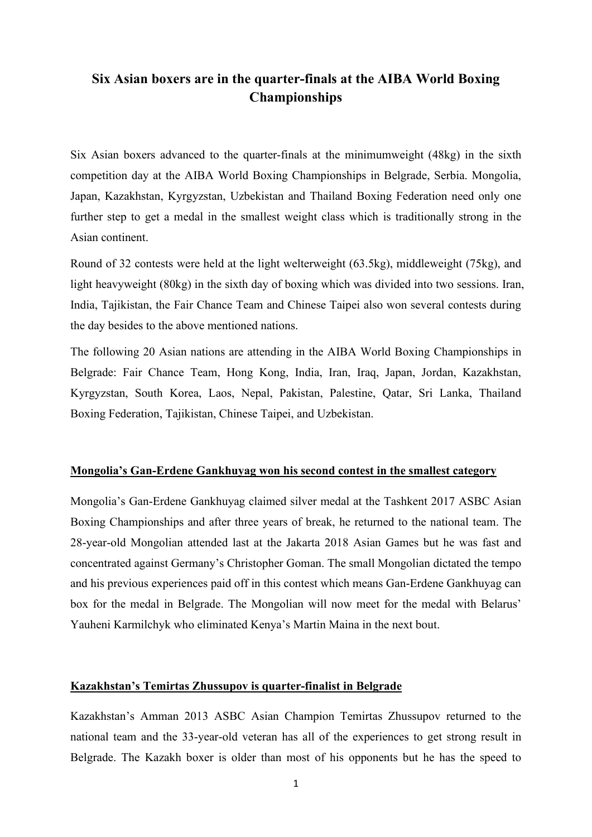# **Six Asian boxers are in the quarter-finals at the AIBA World Boxing Championships**

Six Asian boxers advanced to the quarter-finals at the minimumweight (48kg) in the sixth competition day at the AIBA World Boxing Championships in Belgrade, Serbia. Mongolia, Japan, Kazakhstan, Kyrgyzstan, Uzbekistan and Thailand Boxing Federation need only one further step to get a medal in the smallest weight class which is traditionally strong in the Asian continent.

Round of 32 contests were held at the light welterweight (63.5kg), middleweight (75kg), and light heavyweight (80kg) in the sixth day of boxing which was divided into two sessions. Iran, India, Tajikistan, the Fair Chance Team and Chinese Taipei also won several contests during the day besides to the above mentioned nations.

The following 20 Asian nations are attending in the AIBA World Boxing Championships in Belgrade: Fair Chance Team, Hong Kong, India, Iran, Iraq, Japan, Jordan, Kazakhstan, Kyrgyzstan, South Korea, Laos, Nepal, Pakistan, Palestine, Qatar, Sri Lanka, Thailand Boxing Federation, Tajikistan, Chinese Taipei, and Uzbekistan.

### **Mongolia's Gan-Erdene Gankhuyag won his second contest in the smallest category**

Mongolia's Gan-Erdene Gankhuyag claimed silver medal at the Tashkent 2017 ASBC Asian Boxing Championships and after three years of break, he returned to the national team. The 28-year-old Mongolian attended last at the Jakarta 2018 Asian Games but he was fast and concentrated against Germany's Christopher Goman. The small Mongolian dictated the tempo and his previous experiences paid off in this contest which means Gan-Erdene Gankhuyag can box for the medal in Belgrade. The Mongolian will now meet for the medal with Belarus' Yauheni Karmilchyk who eliminated Kenya's Martin Maina in the next bout.

#### **Kazakhstan's Temirtas Zhussupov is quarter-finalist in Belgrade**

Kazakhstan's Amman 2013 ASBC Asian Champion Temirtas Zhussupov returned to the national team and the 33-year-old veteran has all of the experiences to get strong result in Belgrade. The Kazakh boxer is older than most of his opponents but he has the speed to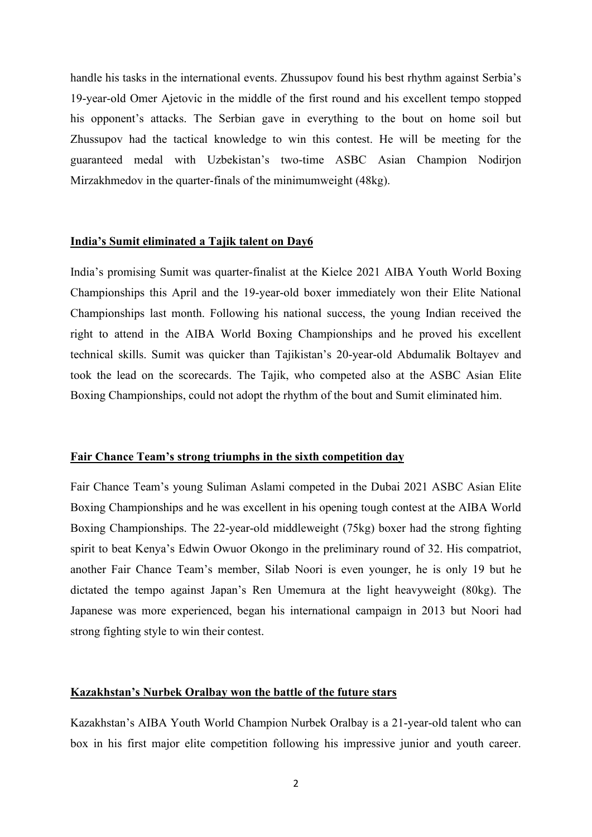handle his tasks in the international events. Zhussupov found his best rhythm against Serbia's 19-year-old Omer Ajetovic in the middle of the first round and his excellent tempo stopped his opponent's attacks. The Serbian gave in everything to the bout on home soil but Zhussupov had the tactical knowledge to win this contest. He will be meeting for the guaranteed medal with Uzbekistan's two-time ASBC Asian Champion Nodirjon Mirzakhmedov in the quarter-finals of the minimumweight (48kg).

### **India's Sumit eliminated a Tajik talent on Day6**

India's promising Sumit was quarter-finalist at the Kielce 2021 AIBA Youth World Boxing Championships this April and the 19-year-old boxer immediately won their Elite National Championships last month. Following his national success, the young Indian received the right to attend in the AIBA World Boxing Championships and he proved his excellent technical skills. Sumit was quicker than Tajikistan's 20-year-old Abdumalik Boltayev and took the lead on the scorecards. The Tajik, who competed also at the ASBC Asian Elite Boxing Championships, could not adopt the rhythm of the bout and Sumit eliminated him.

## **Fair Chance Team's strong triumphs in the sixth competition day**

Fair Chance Team's young Suliman Aslami competed in the Dubai 2021 ASBC Asian Elite Boxing Championships and he was excellent in his opening tough contest at the AIBA World Boxing Championships. The 22-year-old middleweight (75kg) boxer had the strong fighting spirit to beat Kenya's Edwin Owuor Okongo in the preliminary round of 32. His compatriot, another Fair Chance Team's member, Silab Noori is even younger, he is only 19 but he dictated the tempo against Japan's Ren Umemura at the light heavyweight (80kg). The Japanese was more experienced, began his international campaign in 2013 but Noori had strong fighting style to win their contest.

## **Kazakhstan's Nurbek Oralbay won the battle of the future stars**

Kazakhstan's AIBA Youth World Champion Nurbek Oralbay is a 21-year-old talent who can box in his first major elite competition following his impressive junior and youth career.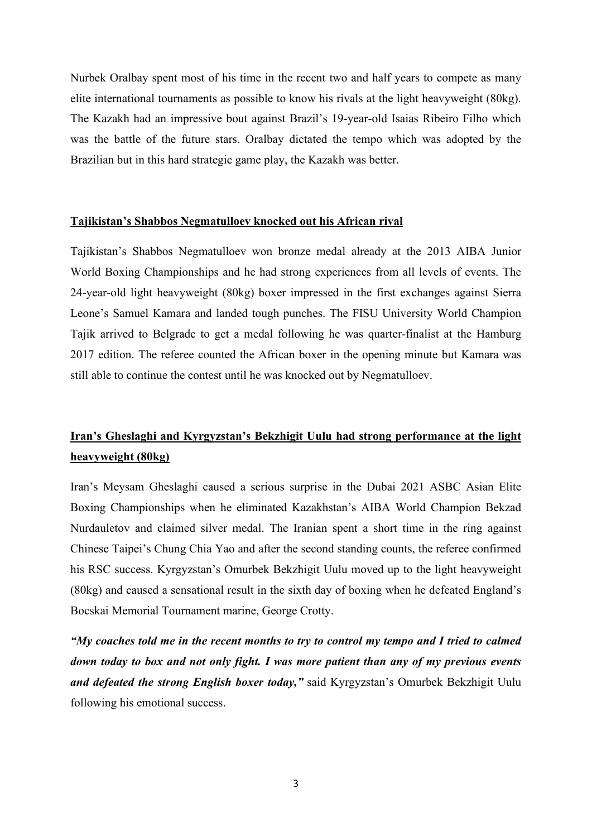Nurbek Oralbay spent most of his time in the recent two and half years to compete as many elite international tournaments as possible to know his rivals at the light heavyweight (80kg). The Kazakh had an impressive bout against Brazil's 19-year-old Isaias Ribeiro Filho which was the battle of the future stars. Oralbay dictated the tempo which was adopted by the Brazilian but in this hard strategic game play, the Kazakh was better.

## **Tajikistan's Shabbos Negmatulloev knocked out his African rival**

Tajikistan's Shabbos Negmatulloev won bronze medal already at the 2013 AIBA Junior World Boxing Championships and he had strong experiences from all levels of events. The 24-year-old light heavyweight (80kg) boxer impressed in the first exchanges against Sierra Leone's Samuel Kamara and landed tough punches. The FISU University World Champion Tajik arrived to Belgrade to get a medal following he was quarter-finalist at the Hamburg 2017 edition. The referee counted the African boxer in the opening minute but Kamara was still able to continue the contest until he was knocked out by Negmatulloev.

# **Iran's Gheslaghi and Kyrgyzstan's Bekzhigit Uulu had strong performance at the light heavyweight (80kg)**

Iran's Meysam Gheslaghi caused a serious surprise in the Dubai 2021 ASBC Asian Elite Boxing Championships when he eliminated Kazakhstan's AIBA World Champion Bekzad Nurdauletov and claimed silver medal. The Iranian spent a short time in the ring against Chinese Taipei's Chung Chia Yao and after the second standing counts, the referee confirmed his RSC success. Kyrgyzstan's Omurbek Bekzhigit Uulu moved up to the light heavyweight (80kg) and caused a sensational result in the sixth day of boxing when he defeated England's Bocskai Memorial Tournament marine, George Crotty.

*"My coaches told me in the recent months to try to control my tempo and I tried to calmed down today to box and not only fight. I was more patient than any of my previous events and defeated the strong English boxer today,"* said Kyrgyzstan's Omurbek Bekzhigit Uulu following his emotional success.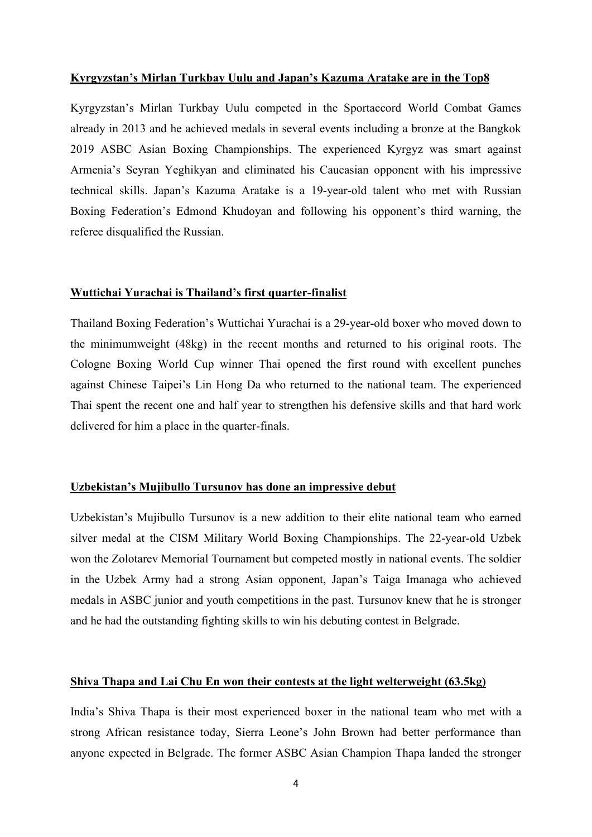### **Kyrgyzstan's Mirlan Turkbay Uulu and Japan's Kazuma Aratake are in the Top8**

Kyrgyzstan's Mirlan Turkbay Uulu competed in the Sportaccord World Combat Games already in 2013 and he achieved medals in several events including a bronze at the Bangkok 2019 ASBC Asian Boxing Championships. The experienced Kyrgyz was smart against Armenia's Seyran Yeghikyan and eliminated his Caucasian opponent with his impressive technical skills. Japan's Kazuma Aratake is a 19-year-old talent who met with Russian Boxing Federation's Edmond Khudoyan and following his opponent's third warning, the referee disqualified the Russian.

### **Wuttichai Yurachai is Thailand's first quarter-finalist**

Thailand Boxing Federation's Wuttichai Yurachai is a 29-year-old boxer who moved down to the minimumweight (48kg) in the recent months and returned to his original roots. The Cologne Boxing World Cup winner Thai opened the first round with excellent punches against Chinese Taipei's Lin Hong Da who returned to the national team. The experienced Thai spent the recent one and half year to strengthen his defensive skills and that hard work delivered for him a place in the quarter-finals.

### **Uzbekistan's Mujibullo Tursunov has done an impressive debut**

Uzbekistan's Mujibullo Tursunov is a new addition to their elite national team who earned silver medal at the CISM Military World Boxing Championships. The 22-year-old Uzbek won the Zolotarev Memorial Tournament but competed mostly in national events. The soldier in the Uzbek Army had a strong Asian opponent, Japan's Taiga Imanaga who achieved medals in ASBC junior and youth competitions in the past. Tursunov knew that he is stronger and he had the outstanding fighting skills to win his debuting contest in Belgrade.

### **Shiva Thapa and Lai Chu En won their contests at the light welterweight (63.5kg)**

India's Shiva Thapa is their most experienced boxer in the national team who met with a strong African resistance today, Sierra Leone's John Brown had better performance than anyone expected in Belgrade. The former ASBC Asian Champion Thapa landed the stronger